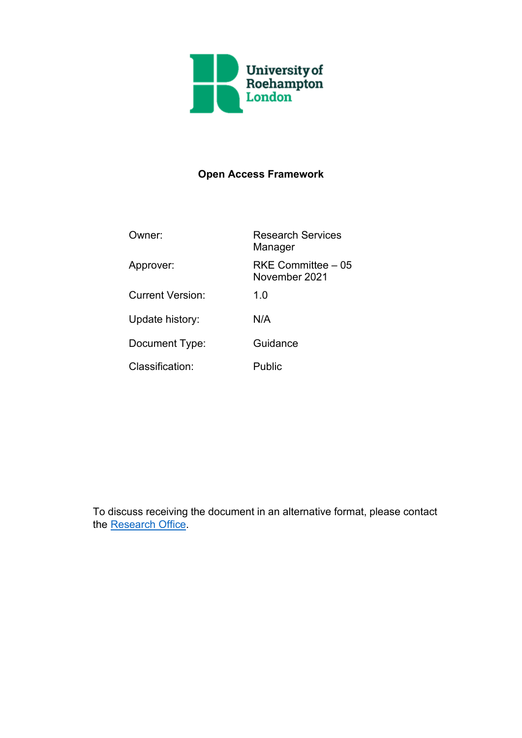

# **Open Access Framework**

| Owner:                  | <b>Research Services</b><br>Manager |  |
|-------------------------|-------------------------------------|--|
| Approver:               | RKE Committee – 05<br>November 2021 |  |
| <b>Current Version:</b> | 1.0                                 |  |
| Update history:         | N/A                                 |  |
| Document Type:          | Guidance                            |  |
| Classification:         | Public                              |  |

To discuss receiving the document in an alternative format, please contact the [Research Office.](mailto:ResearchOffice@roehampton.ac.uk?subject=Open%20Access%20Framework)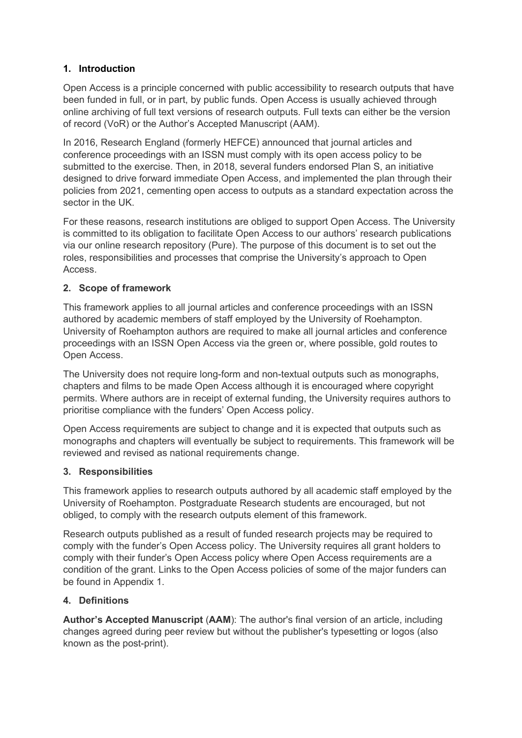## **1. Introduction**

Open Access is a principle concerned with public accessibility to research outputs that have been funded in full, or in part, by public funds. Open Access is usually achieved through online archiving of full text versions of research outputs. Full texts can either be the version of record (VoR) or the Author's Accepted Manuscript (AAM).

In 2016, Research England (formerly HEFCE) announced that journal articles and conference proceedings with an ISSN must comply with its open access policy to be submitted to the exercise. Then, in 2018, several funders endorsed Plan S, an initiative designed to drive forward immediate Open Access, and implemented the plan through their policies from 2021, cementing open access to outputs as a standard expectation across the sector in the UK.

For these reasons, research institutions are obliged to support Open Access. The University is committed to its obligation to facilitate Open Access to our authors' research publications via our online research repository (Pure). The purpose of this document is to set out the roles, responsibilities and processes that comprise the University's approach to Open Access.

## **2. Scope of framework**

This framework applies to all journal articles and conference proceedings with an ISSN authored by academic members of staff employed by the University of Roehampton. University of Roehampton authors are required to make all journal articles and conference proceedings with an ISSN Open Access via the green or, where possible, gold routes to Open Access.

The University does not require long-form and non-textual outputs such as monographs, chapters and films to be made Open Access although it is encouraged where copyright permits. Where authors are in receipt of external funding, the University requires authors to prioritise compliance with the funders' Open Access policy.

Open Access requirements are subject to change and it is expected that outputs such as monographs and chapters will eventually be subject to requirements. This framework will be reviewed and revised as national requirements change.

## **3. Responsibilities**

This framework applies to research outputs authored by all academic staff employed by the University of Roehampton. Postgraduate Research students are encouraged, but not obliged, to comply with the research outputs element of this framework.

Research outputs published as a result of funded research projects may be required to comply with the funder's Open Access policy. The University requires all grant holders to comply with their funder's Open Access policy where Open Access requirements are a condition of the grant. Links to the Open Access policies of some of the major funders can be found in Appendix 1.

## **4. Definitions**

**Author's Accepted Manuscript** (**AAM**): The author's final version of an article, including changes agreed during peer review but without the publisher's typesetting or logos (also known as the post-print).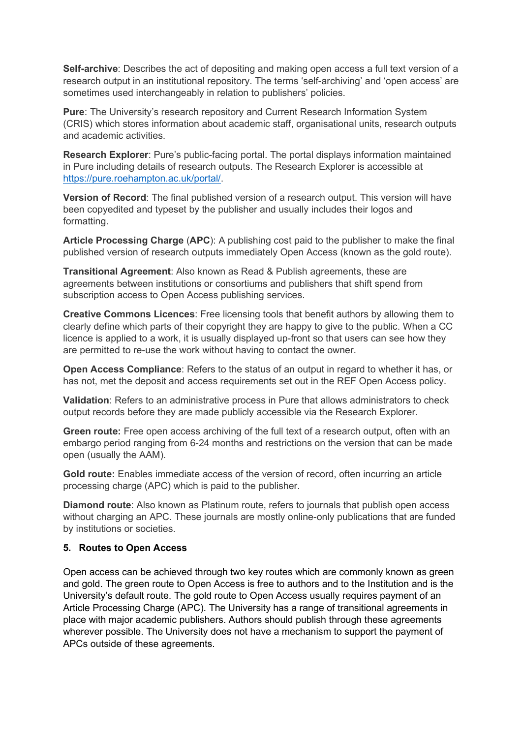**Self-archive**: Describes the act of depositing and making open access a full text version of a research output in an institutional repository. The terms 'self-archiving' and 'open access' are sometimes used interchangeably in relation to publishers' policies.

**Pure**: The University's research repository and Current Research Information System (CRIS) which stores information about academic staff, organisational units, research outputs and academic activities.

**Research Explorer**: Pure's public-facing portal. The portal displays information maintained in Pure including details of research outputs. The Research Explorer is accessible at [https://pure.roehampton.ac.uk/portal/.](https://pure.roehampton.ac.uk/portal/)

**Version of Record**: The final published version of a research output. This version will have been copyedited and typeset by the publisher and usually includes their logos and formatting.

**Article Processing Charge** (**APC**): A publishing cost paid to the publisher to make the final published version of research outputs immediately Open Access (known as the gold route).

**Transitional Agreement**: Also known as Read & Publish agreements, these are agreements between institutions or consortiums and publishers that shift spend from subscription access to Open Access publishing services.

**Creative Commons Licences**: Free licensing tools that benefit authors by allowing them to clearly define which parts of their copyright they are happy to give to the public. When a CC licence is applied to a work, it is usually displayed up-front so that users can see how they are permitted to re-use the work without having to contact the owner.

**Open Access Compliance**: Refers to the status of an output in regard to whether it has, or has not, met the deposit and access requirements set out in the REF Open Access policy.

**Validation**: Refers to an administrative process in Pure that allows administrators to check output records before they are made publicly accessible via the Research Explorer.

**Green route:** Free open access archiving of the full text of a research output, often with an embargo period ranging from 6-24 months and restrictions on the version that can be made open (usually the AAM).

**Gold route:** Enables immediate access of the version of record, often incurring an article processing charge (APC) which is paid to the publisher.

**Diamond route**: Also known as Platinum route, refers to journals that publish open access without charging an APC. These journals are mostly online-only publications that are funded by institutions or societies.

#### **5. Routes to Open Access**

Open access can be achieved through two key routes which are commonly known as green and gold. The green route to Open Access is free to authors and to the Institution and is the University's default route. The gold route to Open Access usually requires payment of an Article Processing Charge (APC). The University has a range of transitional agreements in place with major academic publishers. Authors should publish through these agreements wherever possible. The University does not have a mechanism to support the payment of APCs outside of these agreements.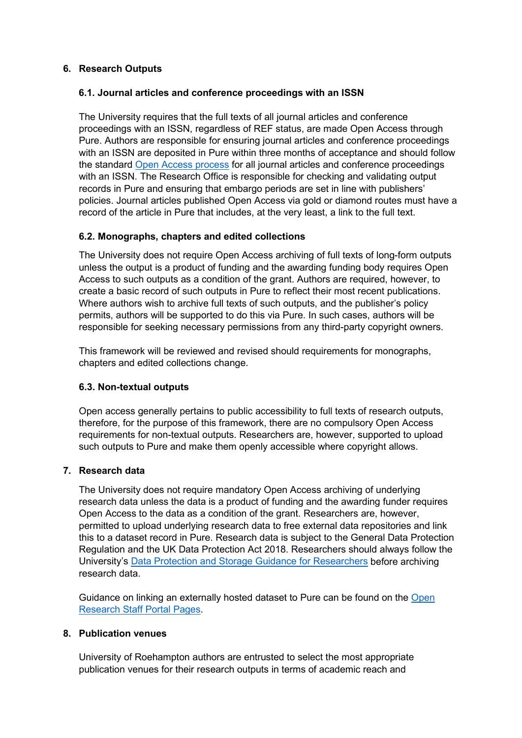#### **6. Research Outputs**

#### **6.1. Journal articles and conference proceedings with an ISSN**

The University requires that the full texts of all journal articles and conference proceedings with an ISSN, regardless of REF status, are made Open Access through Pure. Authors are responsible for ensuring journal articles and conference proceedings with an ISSN are deposited in Pure within three months of acceptance and should follow the standard [Open Access](https://portal.roehampton.ac.uk/information/roehampton-research/open-access-and-open-research/Pages/ensuring-open-access.aspx) process for all journal articles and conference proceedings with an ISSN. The Research Office is responsible for checking and validating output records in Pure and ensuring that embargo periods are set in line with publishers' policies. Journal articles published Open Access via gold or diamond routes must have a record of the article in Pure that includes, at the very least, a link to the full text.

#### **6.2. Monographs, chapters and edited collections**

The University does not require Open Access archiving of full texts of long-form outputs unless the output is a product of funding and the awarding funding body requires Open Access to such outputs as a condition of the grant. Authors are required, however, to create a basic record of such outputs in Pure to reflect their most recent publications. Where authors wish to archive full texts of such outputs, and the publisher's policy permits, authors will be supported to do this via Pure. In such cases, authors will be responsible for seeking necessary permissions from any third-party copyright owners.

This framework will be reviewed and revised should requirements for monographs, chapters and edited collections change.

#### **6.3. Non-textual outputs**

Open access generally pertains to public accessibility to full texts of research outputs, therefore, for the purpose of this framework, there are no compulsory Open Access requirements for non-textual outputs. Researchers are, however, supported to upload such outputs to Pure and make them openly accessible where copyright allows.

#### **7. Research data**

The University does not require mandatory Open Access archiving of underlying research data unless the data is a product of funding and the awarding funder requires Open Access to the data as a condition of the grant. Researchers are, however, permitted to upload underlying research data to free external data repositories and link this to a dataset record in Pure. Research data is subject to the General Data Protection Regulation and the UK Data Protection Act 2018. Researchers should always follow the University's [Data Protection and Storage Guidance for Researchers](https://www.roehampton.ac.uk/globalassets/documents/corporate-information/policies/data-protection-guidance-for-researchers-v1.1-august-2018.pdf) before archiving research data.

Guidance on linking an externally hosted dataset to Pure can be found on the [Open](https://portal.roehampton.ac.uk/information/roehampton-research/open-access-and-open-research/Pages/default.aspx)  [Research Staff Portal Pages.](https://portal.roehampton.ac.uk/information/roehampton-research/open-access-and-open-research/Pages/default.aspx)

#### **8. Publication venues**

University of Roehampton authors are entrusted to select the most appropriate publication venues for their research outputs in terms of academic reach and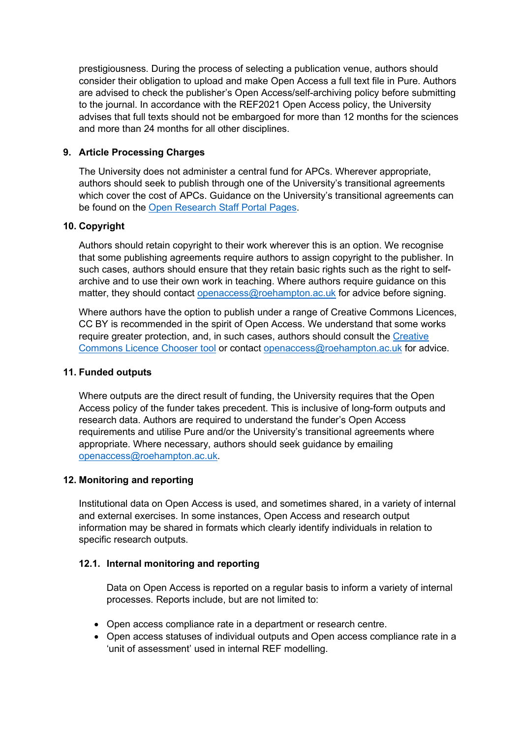prestigiousness. During the process of selecting a publication venue, authors should consider their obligation to upload and make Open Access a full text file in Pure. Authors are advised to check the publisher's Open Access/self-archiving policy before submitting to the journal. In accordance with the REF2021 Open Access policy, the University advises that full texts should not be embargoed for more than 12 months for the sciences and more than 24 months for all other disciplines.

#### **9. Article Processing Charges**

The University does not administer a central fund for APCs. Wherever appropriate, authors should seek to publish through one of the University's transitional agreements which cover the cost of APCs. Guidance on the University's transitional agreements can be found on the [Open Research Staff Portal Pages.](https://portal.roehampton.ac.uk/information/roehampton-research/open-access-and-open-research/Pages/default.aspx)

#### **10. Copyright**

Authors should retain copyright to their work wherever this is an option. We recognise that some publishing agreements require authors to assign copyright to the publisher. In such cases, authors should ensure that they retain basic rights such as the right to selfarchive and to use their own work in teaching. Where authors require guidance on this matter, they should contact [openaccess@roehampton.ac.uk](mailto:openaccess@roehampton.ac.uk) for advice before signing.

Where authors have the option to publish under a range of Creative Commons Licences, CC BY is recommended in the spirit of Open Access. We understand that some works require greater protection, and, in such cases, authors should consult the [Creative](https://creativecommons.org/choose/)  [Commons Licence Chooser tool](https://creativecommons.org/choose/) or contact [openaccess@roehampton.ac.uk](mailto:openaccess@roehampton.ac.uk) for advice.

#### **11. Funded outputs**

Where outputs are the direct result of funding, the University requires that the Open Access policy of the funder takes precedent. This is inclusive of long-form outputs and research data. Authors are required to understand the funder's Open Access requirements and utilise Pure and/or the University's transitional agreements where appropriate. Where necessary, authors should seek guidance by emailing [openaccess@roehampton.ac.uk.](mailto:openaccess@roehampton.ac.uk)

## **12. Monitoring and reporting**

Institutional data on Open Access is used, and sometimes shared, in a variety of internal and external exercises. In some instances, Open Access and research output information may be shared in formats which clearly identify individuals in relation to specific research outputs.

#### **12.1. Internal monitoring and reporting**

Data on Open Access is reported on a regular basis to inform a variety of internal processes. Reports include, but are not limited to:

- Open access compliance rate in a department or research centre.
- Open access statuses of individual outputs and Open access compliance rate in a 'unit of assessment' used in internal REF modelling.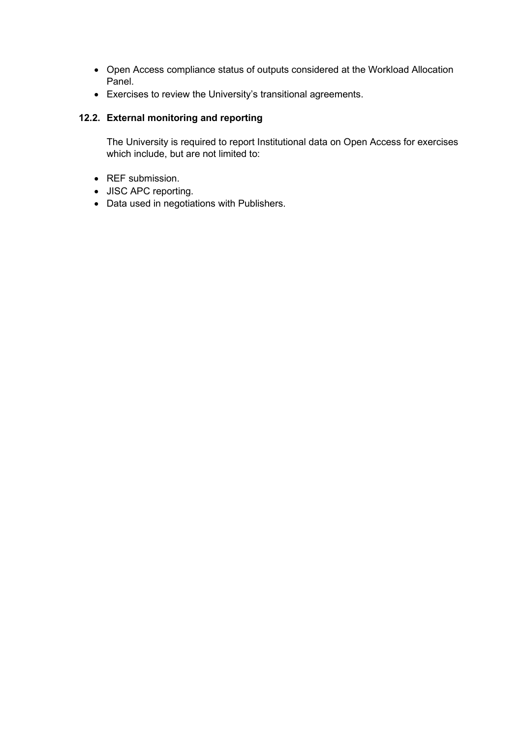- Open Access compliance status of outputs considered at the Workload Allocation Panel.
- Exercises to review the University's transitional agreements.

## **12.2. External monitoring and reporting**

The University is required to report Institutional data on Open Access for exercises which include, but are not limited to:

- REF submission.
- JISC APC reporting.
- Data used in negotiations with Publishers.